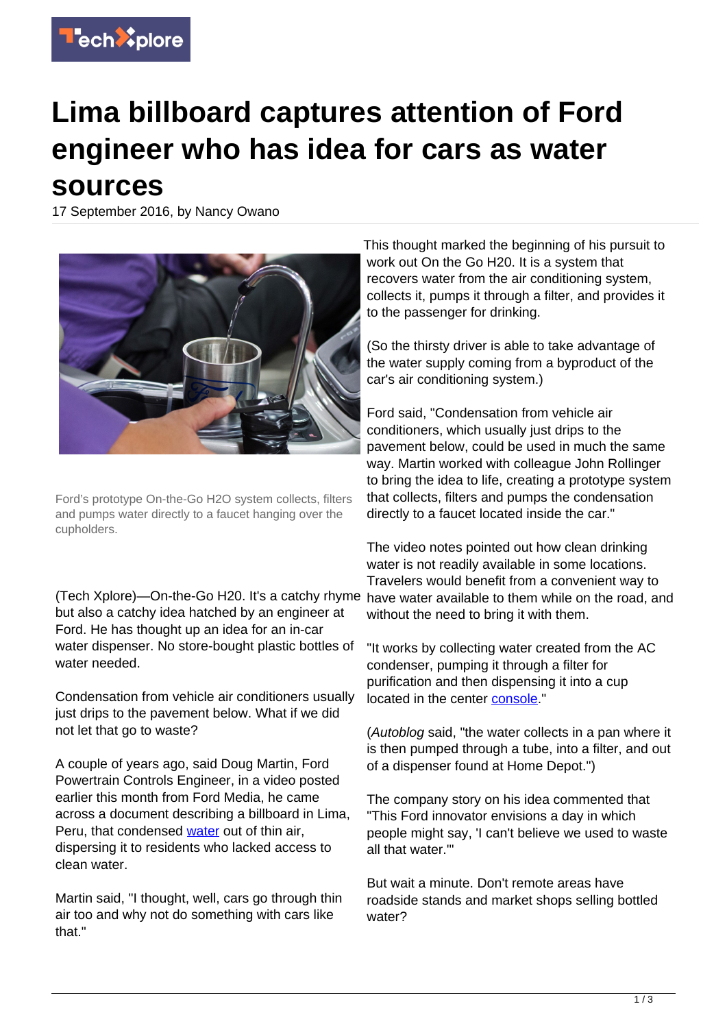

## **Lima billboard captures attention of Ford engineer who has idea for cars as water sources**

17 September 2016, by Nancy Owano



Ford's prototype On-the-Go H2O system collects, filters and pumps water directly to a faucet hanging over the cupholders.

(Tech Xplore)—On-the-Go H20. It's a catchy rhyme but also a catchy idea hatched by an engineer at Ford. He has thought up an idea for an in-car water dispenser. No store-bought plastic bottles of water needed.

Condensation from vehicle air conditioners usually just drips to the pavement below. What if we did not let that go to waste?

A couple of years ago, said Doug Martin, Ford Powertrain Controls Engineer, in a video posted earlier this month from Ford Media, he came across a document describing a billboard in Lima, Peru, that condensed [water](https://techxplore.com/tags/water/) out of thin air, dispersing it to residents who lacked access to clean water.

Martin said, "I thought, well, cars go through thin air too and why not do something with cars like that."

This thought marked the beginning of his pursuit to work out On the Go H20. It is a system that recovers water from the air conditioning system, collects it, pumps it through a filter, and provides it to the passenger for drinking.

(So the thirsty driver is able to take advantage of the water supply coming from a byproduct of the car's air conditioning system.)

Ford said, "Condensation from vehicle air conditioners, which usually just drips to the pavement below, could be used in much the same way. Martin worked with colleague John Rollinger to bring the idea to life, creating a prototype system that collects, filters and pumps the condensation directly to a faucet located inside the car."

The video notes pointed out how clean drinking water is not readily available in some locations. Travelers would benefit from a convenient way to have water available to them while on the road, and without the need to bring it with them.

"It works by collecting water created from the AC condenser, pumping it through a filter for purification and then dispensing it into a cup located in the center [console](https://www.youtube.com/watch?v=mxmjdx_Rg_c)."

(Autoblog said, "the water collects in a pan where it is then pumped through a tube, into a filter, and out of a dispenser found at Home Depot.")

The company story on his idea commented that "This Ford innovator envisions a day in which people might say, 'I can't believe we used to waste all that water.'"

But wait a minute. Don't remote areas have roadside stands and market shops selling bottled water?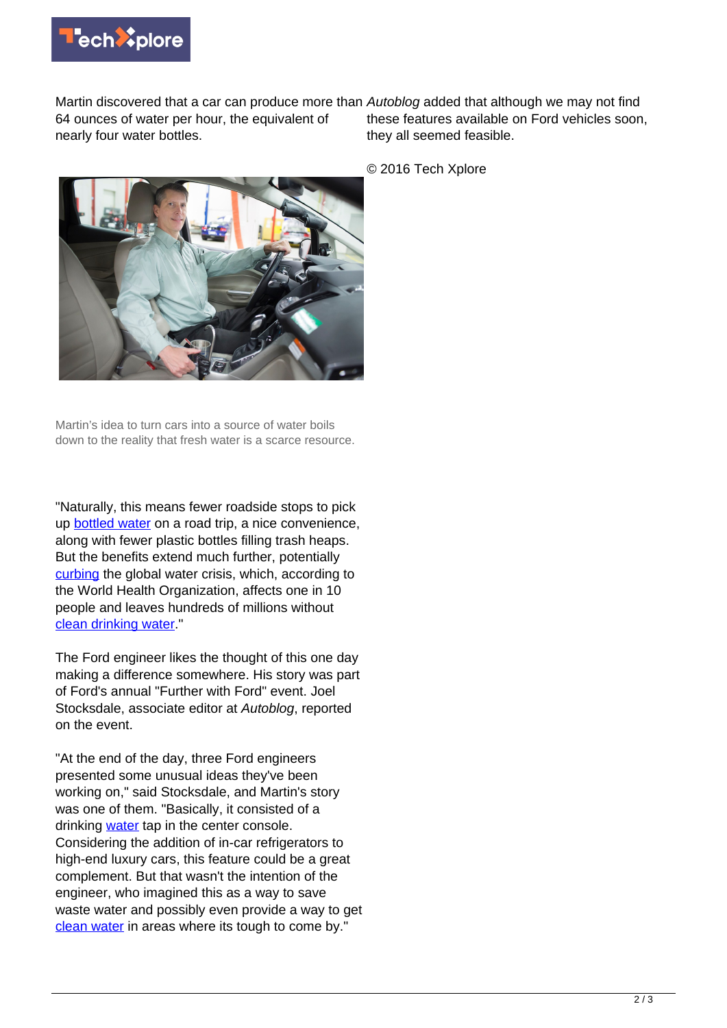

Martin discovered that a car can produce more than Autoblog added that although we may not find 64 ounces of water per hour, the equivalent of nearly four water bottles.

these features available on Ford vehicles soon, they all seemed feasible.

© 2016 Tech Xplore



Martin's idea to turn cars into a source of water boils down to the reality that fresh water is a scarce resource.

"Naturally, this means fewer roadside stops to pick up **bottled water** on a road trip, a nice convenience, along with fewer plastic bottles filling trash heaps. But the benefits extend much further, potentially [curbing](https://media.ford.com/content/fordmedia/fna/us/en/news/2016/09/12/further-with-ford.html#cult-of-disruption) the global water crisis, which, according to the World Health Organization, affects one in 10 people and leaves hundreds of millions without [clean drinking water](https://techxplore.com/tags/clean+drinking+water/)."

The Ford engineer likes the thought of this one day making a difference somewhere. His story was part of Ford's annual "Further with Ford" event. Joel Stocksdale, associate editor at Autoblog, reported on the event.

"At the end of the day, three Ford engineers presented some unusual ideas they've been working on," said Stocksdale, and Martin's story was one of them. "Basically, it consisted of a drinking [water](http://www.autoblog.com/2016/09/13/ford-in-car-water-dispenser-language-app-hoverboard/) tap in the center console. Considering the addition of in-car refrigerators to high-end luxury cars, this feature could be a great complement. But that wasn't the intention of the engineer, who imagined this as a way to save waste water and possibly even provide a way to get [clean water](https://techxplore.com/tags/clean+water/) in areas where its tough to come by."